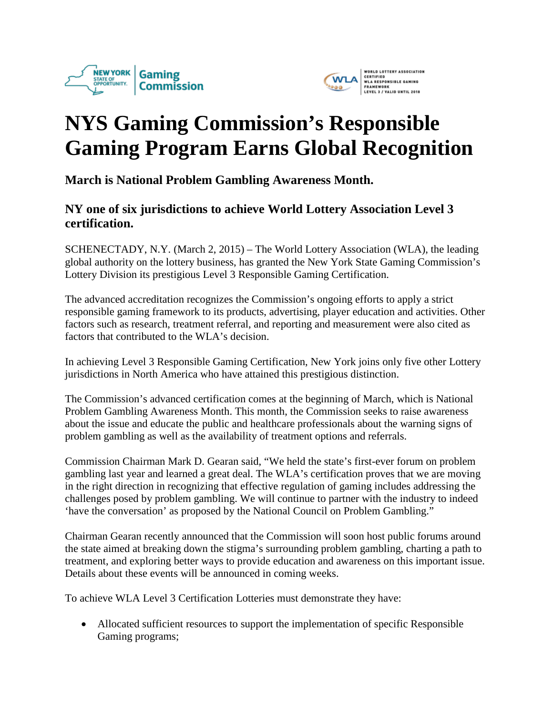



## **NYS Gaming Commission's Responsible Gaming Program Earns Global Recognition**

**March is National Problem Gambling Awareness Month.**

## **NY one of six jurisdictions to achieve World Lottery Association Level 3 certification.**

SCHENECTADY, N.Y. (March 2, 2015) – The World Lottery Association (WLA), the leading global authority on the lottery business, has granted the New York State Gaming Commission's Lottery Division its prestigious Level 3 Responsible Gaming Certification.

The advanced accreditation recognizes the Commission's ongoing efforts to apply a strict responsible gaming framework to its products, advertising, player education and activities. Other factors such as research, treatment referral, and reporting and measurement were also cited as factors that contributed to the WLA's decision.

In achieving Level 3 Responsible Gaming Certification, New York joins only five other Lottery jurisdictions in North America who have attained this prestigious distinction.

The Commission's advanced certification comes at the beginning of March, which is National Problem Gambling Awareness Month. This month, the Commission seeks to raise awareness about the issue and educate the public and healthcare professionals about the warning signs of problem gambling as well as the availability of treatment options and referrals.

Commission Chairman Mark D. Gearan said, "We held the state's first-ever forum on problem gambling last year and learned a great deal. The WLA's certification proves that we are moving in the right direction in recognizing that effective regulation of gaming includes addressing the challenges posed by problem gambling. We will continue to partner with the industry to indeed 'have the conversation' as proposed by the National Council on Problem Gambling."

Chairman Gearan recently announced that the Commission will soon host public forums around the state aimed at breaking down the stigma's surrounding problem gambling, charting a path to treatment, and exploring better ways to provide education and awareness on this important issue. Details about these events will be announced in coming weeks.

To achieve WLA Level 3 Certification Lotteries must demonstrate they have:

• Allocated sufficient resources to support the implementation of specific Responsible Gaming programs;